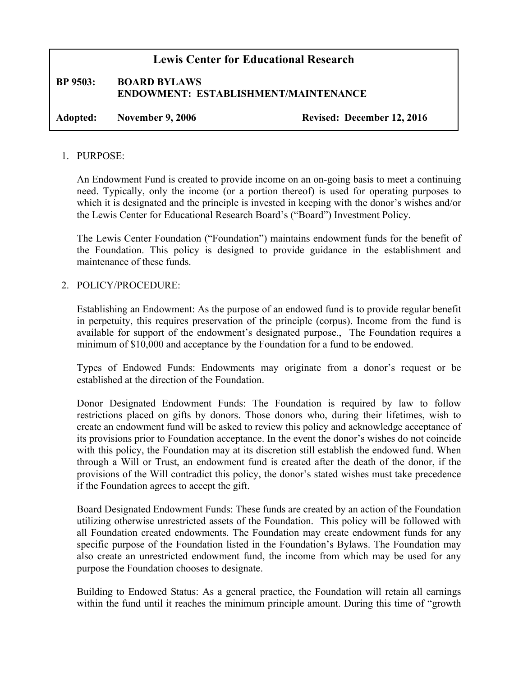## **Lewis Center for Educational Research**

# **BP 9503: BOARD BYLAWS ENDOWMENT: ESTABLISHMENT/MAINTENANCE**

**Adopted: November 9, 2006 Revised: December 12, 2016**

#### 1. PURPOSE:

An Endowment Fund is created to provide income on an on-going basis to meet a continuing need. Typically, only the income (or a portion thereof) is used for operating purposes to which it is designated and the principle is invested in keeping with the donor's wishes and/or the Lewis Center for Educational Research Board's ("Board") Investment Policy.

The Lewis Center Foundation ("Foundation") maintains endowment funds for the benefit of the Foundation. This policy is designed to provide guidance in the establishment and maintenance of these funds.

#### 2. POLICY/PROCEDURE:

Establishing an Endowment: As the purpose of an endowed fund is to provide regular benefit in perpetuity, this requires preservation of the principle (corpus). Income from the fund is available for support of the endowment's designated purpose., The Foundation requires a minimum of \$10,000 and acceptance by the Foundation for a fund to be endowed.

Types of Endowed Funds: Endowments may originate from a donor's request or be established at the direction of the Foundation.

Donor Designated Endowment Funds: The Foundation is required by law to follow restrictions placed on gifts by donors. Those donors who, during their lifetimes, wish to create an endowment fund will be asked to review this policy and acknowledge acceptance of its provisions prior to Foundation acceptance. In the event the donor's wishes do not coincide with this policy, the Foundation may at its discretion still establish the endowed fund. When through a Will or Trust, an endowment fund is created after the death of the donor, if the provisions of the Will contradict this policy, the donor's stated wishes must take precedence if the Foundation agrees to accept the gift.

Board Designated Endowment Funds: These funds are created by an action of the Foundation utilizing otherwise unrestricted assets of the Foundation. This policy will be followed with all Foundation created endowments. The Foundation may create endowment funds for any specific purpose of the Foundation listed in the Foundation's Bylaws. The Foundation may also create an unrestricted endowment fund, the income from which may be used for any purpose the Foundation chooses to designate.

Building to Endowed Status: As a general practice, the Foundation will retain all earnings within the fund until it reaches the minimum principle amount. During this time of "growth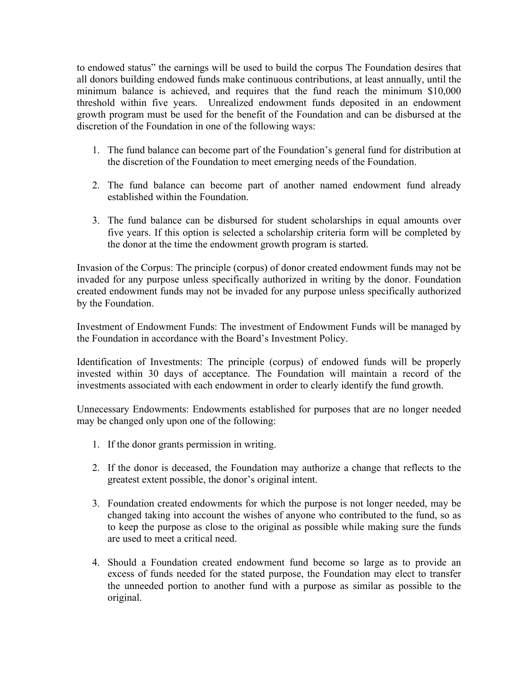to endowed status" the earnings will be used to build the corpus The Foundation desires that all donors building endowed funds make continuous contributions, at least annually, until the minimum balance is achieved, and requires that the fund reach the minimum \$10,000 threshold within five years. Unrealized endowment funds deposited in an endowment growth program must be used for the benefit of the Foundation and can be disbursed at the discretion of the Foundation in one of the following ways:

- 1. The fund balance can become part of the Foundation's general fund for distribution at the discretion of the Foundation to meet emerging needs of the Foundation.
- 2. The fund balance can become part of another named endowment fund already established within the Foundation.
- 3. The fund balance can be disbursed for student scholarships in equal amounts over five years. If this option is selected a scholarship criteria form will be completed by the donor at the time the endowment growth program is started.

Invasion of the Corpus: The principle (corpus) of donor created endowment funds may not be invaded for any purpose unless specifically authorized in writing by the donor. Foundation created endowment funds may not be invaded for any purpose unless specifically authorized by the Foundation.

Investment of Endowment Funds: The investment of Endowment Funds will be managed by the Foundation in accordance with the Board's Investment Policy.

Identification of Investments: The principle (corpus) of endowed funds will be properly invested within 30 days of acceptance. The Foundation will maintain a record of the investments associated with each endowment in order to clearly identify the fund growth.

Unnecessary Endowments: Endowments established for purposes that are no longer needed may be changed only upon one of the following:

- 1. If the donor grants permission in writing.
- 2. If the donor is deceased, the Foundation may authorize a change that reflects to the greatest extent possible, the donor's original intent.
- 3. Foundation created endowments for which the purpose is not longer needed, may be changed taking into account the wishes of anyone who contributed to the fund, so as to keep the purpose as close to the original as possible while making sure the funds are used to meet a critical need.
- 4. Should a Foundation created endowment fund become so large as to provide an excess of funds needed for the stated purpose, the Foundation may elect to transfer the unneeded portion to another fund with a purpose as similar as possible to the original.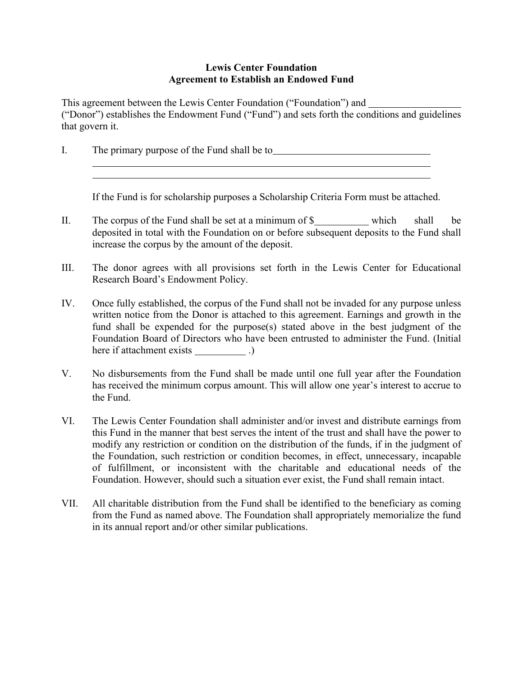### **Lewis Center Foundation Agreement to Establish an Endowed Fund**

This agreement between the Lewis Center Foundation ("Foundation") and ("Donor") establishes the Endowment Fund ("Fund") and sets forth the conditions and guidelines that govern it.

I. The primary purpose of the Fund shall be to

If the Fund is for scholarship purposes a Scholarship Criteria Form must be attached.

- II. The corpus of the Fund shall be set at a minimum of  $\frac{1}{2}$  which shall be deposited in total with the Foundation on or before subsequent deposits to the Fund shall increase the corpus by the amount of the deposit.
- III. The donor agrees with all provisions set forth in the Lewis Center for Educational Research Board's Endowment Policy.
- IV. Once fully established, the corpus of the Fund shall not be invaded for any purpose unless written notice from the Donor is attached to this agreement. Earnings and growth in the fund shall be expended for the purpose(s) stated above in the best judgment of the Foundation Board of Directors who have been entrusted to administer the Fund. (Initial here if attachment exists (b)
- V. No disbursements from the Fund shall be made until one full year after the Foundation has received the minimum corpus amount. This will allow one year's interest to accrue to the Fund.
- VI. The Lewis Center Foundation shall administer and/or invest and distribute earnings from this Fund in the manner that best serves the intent of the trust and shall have the power to modify any restriction or condition on the distribution of the funds, if in the judgment of the Foundation, such restriction or condition becomes, in effect, unnecessary, incapable of fulfillment, or inconsistent with the charitable and educational needs of the Foundation. However, should such a situation ever exist, the Fund shall remain intact.
- VII. All charitable distribution from the Fund shall be identified to the beneficiary as coming from the Fund as named above. The Foundation shall appropriately memorialize the fund in its annual report and/or other similar publications.